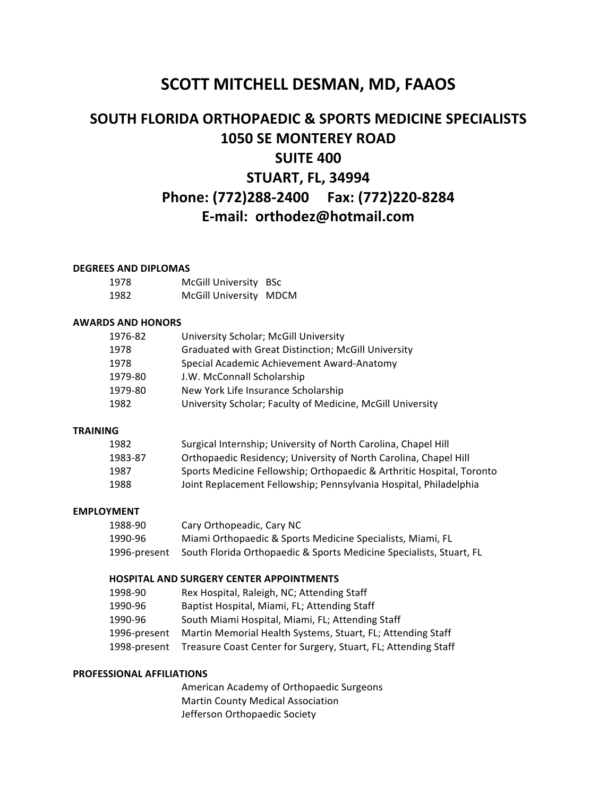## **SCOTT MITCHELL DESMAN, MD, FAAOS**

# **SOUTH FLORIDA ORTHOPAEDIC & SPORTS MEDICINE SPECIALISTS 1050 SE MONTEREY ROAD SUITE 400 STUART, FL, 34994 Phone: (772)288-2400 Fax: (772)220-8284 E-mail: orthodez@hotmail.com**

#### **DEGREES AND DIPLOMAS**

| 1978 | McGill University BSc  |  |
|------|------------------------|--|
| 1982 | McGill University MDCM |  |

## **AWARDS AND HONORS**

| 1976-82 | University Scholar; McGill University                      |
|---------|------------------------------------------------------------|
| 1978    | <b>Graduated with Great Distinction; McGill University</b> |
| 1978    | Special Academic Achievement Award-Anatomy                 |
| 1979-80 | J.W. McConnall Scholarship                                 |
| 1979-80 | New York Life Insurance Scholarship                        |
| 1982    | University Scholar; Faculty of Medicine, McGill University |
|         |                                                            |

### **TRAINING**

| 1982    | Surgical Internship; University of North Carolina, Chapel Hill        |
|---------|-----------------------------------------------------------------------|
| 1983-87 | Orthopaedic Residency; University of North Carolina, Chapel Hill      |
| 1987    | Sports Medicine Fellowship; Orthopaedic & Arthritic Hospital, Toronto |
| 1988    | Joint Replacement Fellowship; Pennsylvania Hospital, Philadelphia     |

## **EMPLOYMENT**

| 1988-90      | Cary Orthopeadic, Cary NC                                           |
|--------------|---------------------------------------------------------------------|
| 1990-96      | Miami Orthopaedic & Sports Medicine Specialists, Miami, FL          |
| 1996-present | South Florida Orthopaedic & Sports Medicine Specialists, Stuart, FL |

#### **HOSPITAL AND SURGERY CENTER APPOINTMENTS**

| 1998-90      | Rex Hospital, Raleigh, NC; Attending Staff                                  |
|--------------|-----------------------------------------------------------------------------|
| 1990-96      | Baptist Hospital, Miami, FL; Attending Staff                                |
| 1990-96      | South Miami Hospital, Miami, FL; Attending Staff                            |
| 1996-present | Martin Memorial Health Systems, Stuart, FL; Attending Staff                 |
|              | 1998-present Treasure Coast Center for Surgery, Stuart, FL; Attending Staff |

#### **PROFESSIONAL AFFILIATIONS**

American Academy of Orthopaedic Surgeons Martin County Medical Association Jefferson Orthopaedic Society